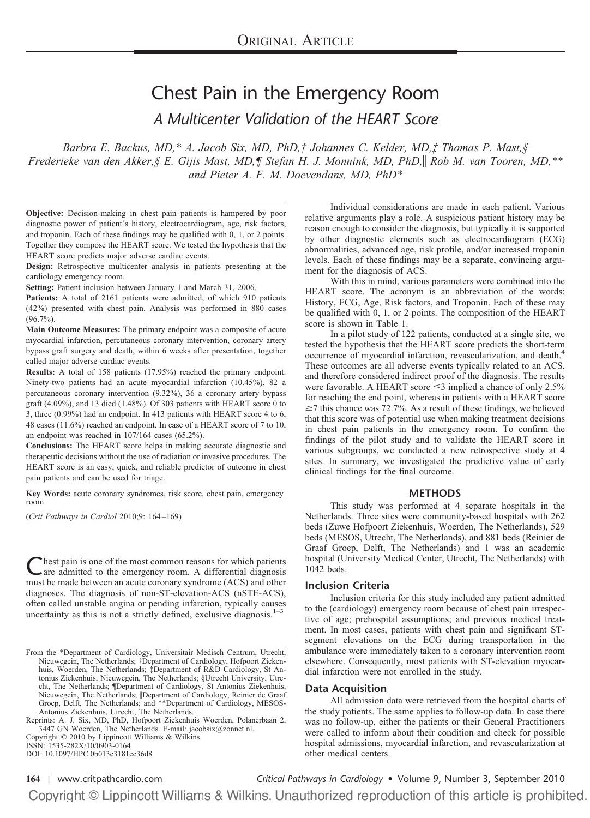# Chest Pain in the Emergency Room *A Multicenter Validation of the HEART Score*

*Barbra E. Backus, MD,\* A. Jacob Six, MD, PhD,† Johannes C. Kelder, MD,‡ Thomas P. Mast,§ Frederieke van den Akker,§ E. Gijis Mast, MD,¶ Stefan H. J. Monnink, MD, PhD, Rob M. van Tooren, MD,\*\* and Pieter A. F. M. Doevendans, MD, PhD\**

**Objective:** Decision-making in chest pain patients is hampered by poor diagnostic power of patient's history, electrocardiogram, age, risk factors, and troponin. Each of these findings may be qualified with 0, 1, or 2 points. Together they compose the HEART score. We tested the hypothesis that the HEART score predicts major adverse cardiac events.

**Design:** Retrospective multicenter analysis in patients presenting at the cardiology emergency room.

**Setting:** Patient inclusion between January 1 and March 31, 2006.

Patients: A total of 2161 patients were admitted, of which 910 patients (42%) presented with chest pain. Analysis was performed in 880 cases  $(96.7\%)$ .

**Main Outcome Measures:** The primary endpoint was a composite of acute myocardial infarction, percutaneous coronary intervention, coronary artery bypass graft surgery and death, within 6 weeks after presentation, together called major adverse cardiac events.

**Results:** A total of 158 patients (17.95%) reached the primary endpoint. Ninety-two patients had an acute myocardial infarction (10.45%), 82 a percutaneous coronary intervention (9.32%), 36 a coronary artery bypass graft (4.09%), and 13 died (1.48%). Of 303 patients with HEART score 0 to 3, three (0.99%) had an endpoint. In 413 patients with HEART score 4 to 6, 48 cases (11.6%) reached an endpoint. In case of a HEART score of 7 to 10, an endpoint was reached in 107/164 cases (65.2%).

**Conclusions:** The HEART score helps in making accurate diagnostic and therapeutic decisions without the use of radiation or invasive procedures. The HEART score is an easy, quick, and reliable predictor of outcome in chest pain patients and can be used for triage.

**Key Words:** acute coronary syndromes, risk score, chest pain, emergency room

(*Crit Pathways in Cardiol* 2010;9: 164–169)

Thest pain is one of the most common reasons for which patients are admitted to the emergency room. A differential diagnosis must be made between an acute coronary syndrome (ACS) and other diagnoses. The diagnosis of non-ST-elevation-ACS (nSTE-ACS), often called unstable angina or pending infarction, typically causes uncertainty as this is not a strictly defined, exclusive diagnosis. $1-3$ 

Reprints: A. J. Six, MD, PhD, Hofpoort Ziekenhuis Woerden, Polanerbaan 2, 3447 GN Woerden, The Netherlands. E-mail: jacobsix@zonnet.nl. Copyright © 2010 by Lippincott Williams & Wilkins

ISSN: 1535-282X/10/0903-0164

DOI: 10.1097/HPC.0b013e3181ec36d8

Individual considerations are made in each patient. Various relative arguments play a role. A suspicious patient history may be reason enough to consider the diagnosis, but typically it is supported by other diagnostic elements such as electrocardiogram (ECG) abnormalities, advanced age, risk profile, and/or increased troponin levels. Each of these findings may be a separate, convincing argument for the diagnosis of ACS.

With this in mind, various parameters were combined into the HEART score. The acronym is an abbreviation of the words: History, ECG, Age, Risk factors, and Troponin. Each of these may be qualified with 0, 1, or 2 points. The composition of the HEART score is shown in Table 1.

In a pilot study of 122 patients, conducted at a single site, we tested the hypothesis that the HEART score predicts the short-term occurrence of myocardial infarction, revascularization, and death.4 These outcomes are all adverse events typically related to an ACS, and therefore considered indirect proof of the diagnosis. The results were favorable. A HEART score  $\leq$ 3 implied a chance of only 2.5% for reaching the end point, whereas in patients with a HEART score  $\geq$ 7 this chance was 72.7%. As a result of these findings, we believed that this score was of potential use when making treatment decisions in chest pain patients in the emergency room. To confirm the findings of the pilot study and to validate the HEART score in various subgroups, we conducted a new retrospective study at 4 sites. In summary, we investigated the predictive value of early clinical findings for the final outcome.

### **METHODS**

This study was performed at 4 separate hospitals in the Netherlands. Three sites were community-based hospitals with 262 beds (Zuwe Hofpoort Ziekenhuis, Woerden, The Netherlands), 529 beds (MESOS, Utrecht, The Netherlands), and 881 beds (Reinier de Graaf Groep, Delft, The Netherlands) and 1 was an academic hospital (University Medical Center, Utrecht, The Netherlands) with 1042 beds.

### **Inclusion Criteria**

Inclusion criteria for this study included any patient admitted to the (cardiology) emergency room because of chest pain irrespective of age; prehospital assumptions; and previous medical treatment. In most cases, patients with chest pain and significant STsegment elevations on the ECG during transportation in the ambulance were immediately taken to a coronary intervention room elsewhere. Consequently, most patients with ST-elevation myocardial infarction were not enrolled in the study.

### **Data Acquisition**

All admission data were retrieved from the hospital charts of the study patients. The same applies to follow-up data. In case there was no follow-up, either the patients or their General Practitioners were called to inform about their condition and check for possible hospital admissions, myocardial infarction, and revascularization at other medical centers.

**164** | [www.critpathcardio.com](http://www.critpathcardio.com) *Critical Pathways in Cardiology* • Volume 9, Number 3, September 2010Copyright © Lippincott Williams & Wilkins. Unauthorized reproduction of this article is prohibited.

From the \*Department of Cardiology, Universitair Medisch Centrum, Utrecht, Nieuwegein, The Netherlands; †Department of Cardiology, Hofpoort Ziekenhuis, Woerden, The Netherlands; ‡Department of R&D Cardiology, St Antonius Ziekenhuis, Nieuwegein, The Netherlands; §Utrecht University, Utrecht, The Netherlands; ¶Department of Cardiology, St Antonius Ziekenhuis, Nieuwegein, The Netherlands; ||Department of Cardiology, Reinier de Graaf Groep, Delft, The Netherlands; and \*\*Department of Cardiology, MESOS-Antonius Ziekenhuis, Utrecht, The Netherlands.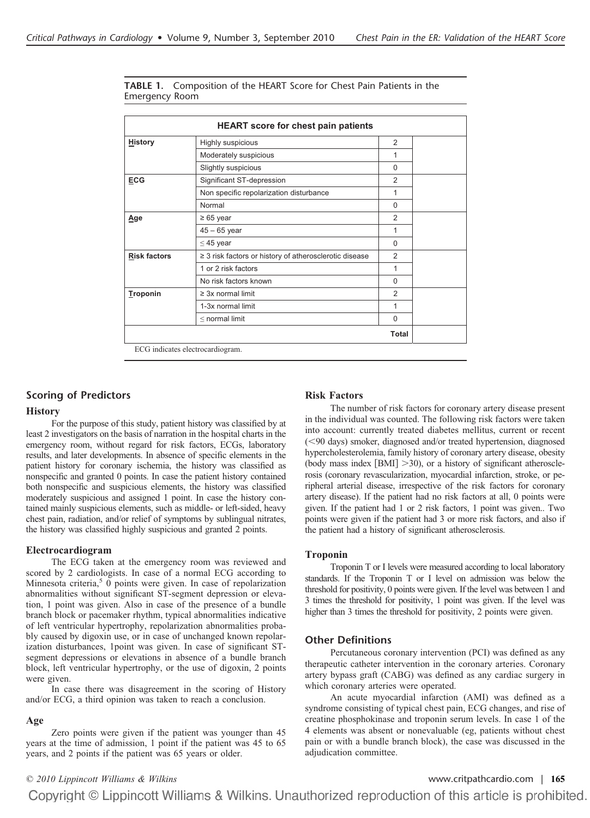|                     | <b>HEART</b> score for chest pain patients                  |                |  |
|---------------------|-------------------------------------------------------------|----------------|--|
| <b>History</b>      | Highly suspicious                                           | $\overline{2}$ |  |
|                     | Moderately suspicious                                       | 1              |  |
|                     | Slightly suspicious                                         | $\Omega$       |  |
| <b>ECG</b>          | Significant ST-depression                                   | 2              |  |
|                     | Non specific repolarization disturbance                     | 1              |  |
|                     | Normal                                                      | $\Omega$       |  |
| Age                 | $\geq 65$ year                                              | $\mathfrak{p}$ |  |
|                     | $45 - 65$ year                                              | 1              |  |
|                     | $\leq$ 45 year                                              | $\Omega$       |  |
| <b>Risk factors</b> | $\geq$ 3 risk factors or history of atherosclerotic disease | $\overline{2}$ |  |
|                     | 1 or 2 risk factors                                         | 1              |  |
|                     | No risk factors known                                       | $\Omega$       |  |
| Troponin            | $\geq$ 3x normal limit                                      | $\overline{2}$ |  |
|                     | 1-3x normal limit                                           | 1              |  |
|                     | $<$ normal limit                                            | $\Omega$       |  |
|                     |                                                             | Total          |  |
|                     | ECG indicates electrocardiogram.                            |                |  |

**TABLE 1.** Composition of the HEART Score for Chest Pain Patients in the Emergency Room

### **Scoring of Predictors**

### **History**

For the purpose of this study, patient history was classified by at least 2 investigators on the basis of narration in the hospital charts in the emergency room, without regard for risk factors, ECGs, laboratory results, and later developments. In absence of specific elements in the patient history for coronary ischemia, the history was classified as nonspecific and granted 0 points. In case the patient history contained both nonspecific and suspicious elements, the history was classified moderately suspicious and assigned 1 point. In case the history contained mainly suspicious elements, such as middle- or left-sided, heavy chest pain, radiation, and/or relief of symptoms by sublingual nitrates, the history was classified highly suspicious and granted 2 points.

### **Electrocardiogram**

The ECG taken at the emergency room was reviewed and scored by 2 cardiologists. In case of a normal ECG according to Minnesota criteria,<sup>5</sup> 0 points were given. In case of repolarization abnormalities without significant ST-segment depression or elevation, 1 point was given. Also in case of the presence of a bundle branch block or pacemaker rhythm, typical abnormalities indicative of left ventricular hypertrophy, repolarization abnormalities probably caused by digoxin use, or in case of unchanged known repolarization disturbances, 1point was given. In case of significant STsegment depressions or elevations in absence of a bundle branch block, left ventricular hypertrophy, or the use of digoxin, 2 points were given.

In case there was disagreement in the scoring of History and/or ECG, a third opinion was taken to reach a conclusion.

### **Age**

Zero points were given if the patient was younger than 45 years at the time of admission, 1 point if the patient was 45 to 65 years, and 2 points if the patient was 65 years or older.

### **Risk Factors**

The number of risk factors for coronary artery disease present in the individual was counted. The following risk factors were taken into account: currently treated diabetes mellitus, current or recent (90 days) smoker, diagnosed and/or treated hypertension, diagnosed hypercholesterolemia, family history of coronary artery disease, obesity (body mass index  $[BMI] > 30$ ), or a history of significant atherosclerosis (coronary revascularization, myocardial infarction, stroke, or peripheral arterial disease, irrespective of the risk factors for coronary artery disease). If the patient had no risk factors at all, 0 points were given. If the patient had 1 or 2 risk factors, 1 point was given.. Two points were given if the patient had 3 or more risk factors, and also if the patient had a history of significant atherosclerosis.

### **Troponin**

Troponin T or I levels were measured according to local laboratory standards. If the Troponin T or I level on admission was below the threshold for positivity, 0 points were given. If the level was between 1 and 3 times the threshold for positivity, 1 point was given. If the level was higher than 3 times the threshold for positivity, 2 points were given.

### **Other Definitions**

Percutaneous coronary intervention (PCI) was defined as any therapeutic catheter intervention in the coronary arteries. Coronary artery bypass graft (CABG) was defined as any cardiac surgery in which coronary arteries were operated.

An acute myocardial infarction (AMI) was defined as a syndrome consisting of typical chest pain, ECG changes, and rise of creatine phosphokinase and troponin serum levels. In case 1 of the 4 elements was absent or nonevaluable (eg, patients without chest pain or with a bundle branch block), the case was discussed in the adjudication committee.

## *© 2010 Lippincott Williams & Wilkins* [www.critpathcardio.com](http://www.critpathcardio.com) | **165**Copyright © Lippincott Williams & Wilkins. Unauthorized reproduction of this article is prohibited.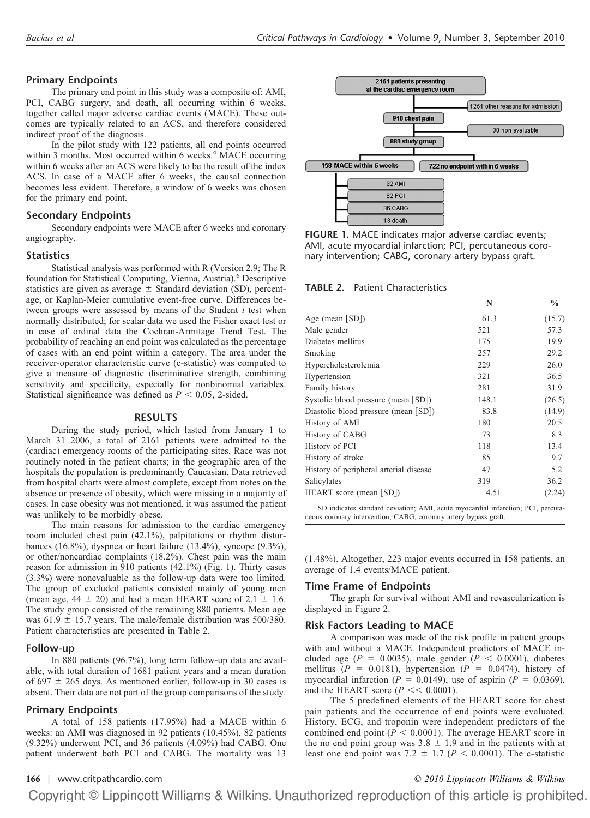### **Primary Endpoints**

The primary end point in this study was a composite of: AMI, PCI, CABG surgery, and death, all occurring within 6 weeks, together called major adverse cardiac events (MACE). These outcomes are typically related to an ACS, and therefore considered indirect proof of the diagnosis.

In the pilot study with 122 patients, all end points occurred within 3 months. Most occurred within 6 weeks.<sup>4</sup> MACE occurring within 6 weeks after an ACS were likely to be the result of the index ACS. In case of a MACE after 6 weeks, the causal connection becomes less evident. Therefore, a window of 6 weeks was chosen for the primary end point.

### **Secondary Endpoints**

Secondary endpoints were MACE after 6 weeks and coronary angiography.

### **Statistics**

Statistical analysis was performed with R (Version 2.9; The R foundation for Statistical Computing, Vienna, Austria).<sup>6</sup> Descriptive statistics are given as average  $\pm$  Standard deviation (SD), percentage, or Kaplan-Meier cumulative event-free curve. Differences between groups were assessed by means of the Student *t* test when normally distributed; for scalar data we used the Fisher exact test or in case of ordinal data the Cochran-Armitage Trend Test. The probability of reaching an end point was calculated as the percentage of cases with an end point within a category. The area under the receiver-operator characteristic curve (c-statistic) was computed to give a measure of diagnostic discriminative strength, combining sensitivity and specificity, especially for nonbinomial variables. Statistical significance was defined as  $P < 0.05$ , 2-sided.

### **RESULTS**

During the study period, which lasted from January 1 to March 31 2006, a total of 2161 patients were admitted to the (cardiac) emergency rooms of the participating sites. Race was not routinely noted in the patient charts; in the geographic area of the hospitals the population is predominantly Caucasian. Data retrieved from hospital charts were almost complete, except from notes on the absence or presence of obesity, which were missing in a majority of cases. In case obesity was not mentioned, it was assumed the patient was unlikely to be morbidly obese.

The main reasons for admission to the cardiac emergency room included chest pain (42.1%), palpitations or rhythm disturbances (16.8%), dyspnea or heart failure (13.4%), syncope (9.3%), or other/noncardiac complaints (18.2%). Chest pain was the main reason for admission in 910 patients (42.1%) (Fig. 1). Thirty cases (3.3%) were nonevaluable as the follow-up data were too limited. The group of excluded patients consisted mainly of young men (mean age,  $44 \pm 20$ ) and had a mean HEART score of  $2.1 \pm 1.6$ . The study group consisted of the remaining 880 patients. Mean age was  $61.9 \pm 15.7$  years. The male/female distribution was 500/380. Patient characteristics are presented in Table 2.

### **Follow-up**

In 880 patients (96.7%), long term follow-up data are available, with total duration of 1681 patient years and a mean duration of 697  $\pm$  265 days. As mentioned earlier, follow-up in 30 cases is absent. Their data are not part of the group comparisons of the study.

### **Primary Endpoints**

A total of 158 patients (17.95%) had a MACE within 6 weeks: an AMI was diagnosed in 92 patients (10.45%), 82 patients (9.32%) underwent PCI, and 36 patients (4.09%) had CABG. One patient underwent both PCI and CABG. The mortality was 13



**FIGURE 1.** MACE indicates major adverse cardiac events; AMI, acute myocardial infarction; PCI, percutaneous coronary intervention; CABG, coronary artery bypass graft.

### **TABLE 2.** Patient Characteristics

|                                        | N     | $\frac{0}{0}$ |
|----------------------------------------|-------|---------------|
| Age (mean $[SD]$ )                     | 61.3  | (15.7)        |
| Male gender                            | 521   | 57.3          |
| Diabetes mellitus                      | 175   | 19.9          |
| Smoking                                | 257   | 29.2          |
| Hypercholesterolemia                   | 229   | 26.0          |
| Hypertension                           | 321   | 36.5          |
| Family history                         | 281   | 31.9          |
| Systolic blood pressure (mean SD)      | 148.1 | (26.5)        |
| Diastolic blood pressure (mean [SD])   | 83.8  | (14.9)        |
| History of AMI                         | 180   | 20.5          |
| History of CABG                        | 73    | 8.3           |
| History of PCI                         | 118   | 13.4          |
| History of stroke                      | 85    | 9.7           |
| History of peripheral arterial disease | 47    | 5.2           |
| Salicylates                            | 319   | 36.2          |
| HEART score (mean [SD])                | 4.51  | (2.24)        |
|                                        |       |               |

SD indicates standard deviation; AMI, acute myocardial infarction; PCI, percutaneous coronary intervention; CABG, coronary artery bypass graft.

(1.48%). Altogether, 223 major events occurred in 158 patients, an average of 1.4 events/MACE patient.

### **Time Frame of Endpoints**

The graph for survival without AMI and revascularization is displayed in Figure 2.

### **Risk Factors Leading to MACE**

A comparison was made of the risk profile in patient groups with and without a MACE. Independent predictors of MACE included age ( $P = 0.0035$ ), male gender ( $P < 0.0001$ ), diabetes mellitus  $(P = 0.0181)$ , hypertension  $(P = 0.0474)$ , history of myocardial infarction ( $P = 0.0149$ ), use of aspirin ( $P = 0.0369$ ), and the HEART score  $(P \ll 0.0001)$ .

The 5 predefined elements of the HEART score for chest pain patients and the occurrence of end points were evaluated. History, ECG, and troponin were independent predictors of the combined end point ( $P < 0.0001$ ). The average HEART score in the no end point group was  $3.8 \pm 1.9$  and in the patients with at least one end point was 7.2  $\pm$  1.7 ( $P < 0.0001$ ). The c-statistic

**166** | [www.critpathcardio.com](http://www.critpathcardio.com) *© 2010 Lippincott Williams & Wilkins*

Copyright © Lippincott Williams & Wilkins. Unauthorized reproduction of this article is prohibited.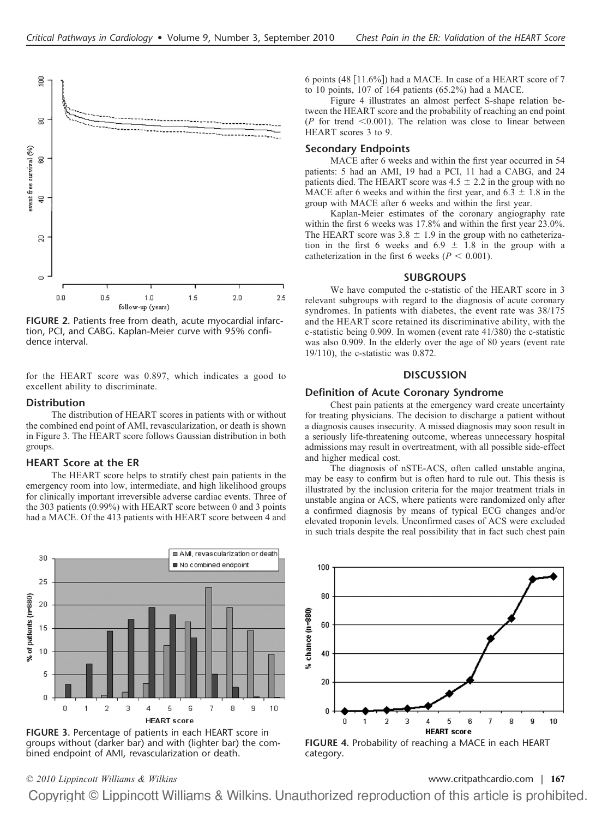

**FIGURE 2.** Patients free from death, acute myocardial infarction, PCI, and CABG. Kaplan-Meier curve with 95% confidence interval.

for the HEART score was 0.897, which indicates a good to excellent ability to discriminate.

### **Distribution**

The distribution of HEART scores in patients with or without the combined end point of AMI, revascularization, or death is shown in Figure 3. The HEART score follows Gaussian distribution in both groups.

### **HEART Score at the ER**

The HEART score helps to stratify chest pain patients in the emergency room into low, intermediate, and high likelihood groups for clinically important irreversible adverse cardiac events. Three of the 303 patients (0.99%) with HEART score between 0 and 3 points had a MACE. Of the 413 patients with HEART score between 4 and



**FIGURE 3.** Percentage of patients in each HEART score in groups without (darker bar) and with (lighter bar) the combined endpoint of AMI, revascularization or death.

### *© 2010 Lippincott Williams & Wilkins* [www.critpathcardio.com](http://www.critpathcardio.com) | **167**

6 points  $(48 [11.6\%])$  had a MACE. In case of a HEART score of 7 to 10 points, 107 of 164 patients (65.2%) had a MACE.

Figure 4 illustrates an almost perfect S-shape relation between the HEART score and the probability of reaching an end point ( $P$  for trend  $\leq 0.001$ ). The relation was close to linear between HEART scores 3 to 9.

### **Secondary Endpoints**

MACE after 6 weeks and within the first year occurred in 54 patients: 5 had an AMI, 19 had a PCI, 11 had a CABG, and 24 patients died. The HEART score was  $4.5 \pm 2.2$  in the group with no MACE after 6 weeks and within the first year, and  $6.3 \pm 1.8$  in the group with MACE after 6 weeks and within the first year.

Kaplan-Meier estimates of the coronary angiography rate within the first 6 weeks was 17.8% and within the first year 23.0%. The HEART score was  $3.8 \pm 1.9$  in the group with no catheterization in the first 6 weeks and  $6.9 \pm 1.8$  in the group with a catheterization in the first 6 weeks ( $P < 0.001$ ).

### **SUBGROUPS**

We have computed the c-statistic of the HEART score in 3 relevant subgroups with regard to the diagnosis of acute coronary syndromes. In patients with diabetes, the event rate was 38/175 and the HEART score retained its discriminative ability, with the c-statistic being 0.909. In women (event rate 41/380) the c-statistic was also 0.909. In the elderly over the age of 80 years (event rate 19/110), the c-statistic was 0.872.

### **DISCUSSION**

### **Definition of Acute Coronary Syndrome**

Chest pain patients at the emergency ward create uncertainty for treating physicians. The decision to discharge a patient without a diagnosis causes insecurity. A missed diagnosis may soon result in a seriously life-threatening outcome, whereas unnecessary hospital admissions may result in overtreatment, with all possible side-effect and higher medical cost.

The diagnosis of nSTE-ACS, often called unstable angina, may be easy to confirm but is often hard to rule out. This thesis is illustrated by the inclusion criteria for the major treatment trials in unstable angina or ACS, where patients were randomized only after a confirmed diagnosis by means of typical ECG changes and/or elevated troponin levels. Unconfirmed cases of ACS were excluded in such trials despite the real possibility that in fact such chest pain



category.

Copyright © Lippincott Williams & Wilkins. Unauthorized reproduction of this article is prohibited.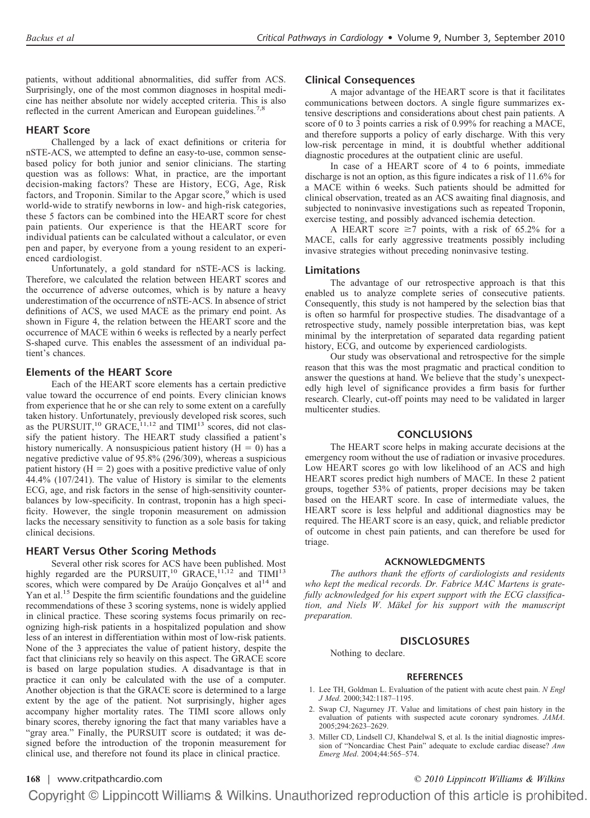patients, without additional abnormalities, did suffer from ACS. Surprisingly, one of the most common diagnoses in hospital medicine has neither absolute nor widely accepted criteria. This is also reflected in the current American and European guidelines.<sup>7,8</sup>

### **HEART Score**

Challenged by a lack of exact definitions or criteria for nSTE-ACS, we attempted to define an easy-to-use, common sensebased policy for both junior and senior clinicians. The starting question was as follows: What, in practice, are the important decision-making factors? These are History, ECG, Age, Risk factors, and Troponin. Similar to the Apgar score,<sup>9</sup> which is used world-wide to stratify newborns in low- and high-risk categories, these 5 factors can be combined into the HEART score for chest pain patients. Our experience is that the HEART score for individual patients can be calculated without a calculator, or even pen and paper, by everyone from a young resident to an experienced cardiologist.

Unfortunately, a gold standard for nSTE-ACS is lacking. Therefore, we calculated the relation between HEART scores and the occurrence of adverse outcomes, which is by nature a heavy underestimation of the occurrence of nSTE-ACS. In absence of strict definitions of ACS, we used MACE as the primary end point. As shown in Figure 4, the relation between the HEART score and the occurrence of MACE within 6 weeks is reflected by a nearly perfect S-shaped curve. This enables the assessment of an individual patient's chances.

### **Elements of the HEART Score**

Each of the HEART score elements has a certain predictive value toward the occurrence of end points. Every clinician knows from experience that he or she can rely to some extent on a carefully taken history. Unfortunately, previously developed risk scores, such as the PURSUIT,<sup>10</sup> GRACE,<sup>11,12</sup> and TIMI<sup>13</sup> scores, did not classify the patient history. The HEART study classified a patient's history numerically. A nonsuspicious patient history ( $H = 0$ ) has a negative predictive value of 95.8% (296/309), whereas a suspicious patient history  $(H = 2)$  goes with a positive predictive value of only 44.4% (107/241). The value of History is similar to the elements ECG, age, and risk factors in the sense of high-sensitivity counterbalances by low-specificity. In contrast, troponin has a high specificity. However, the single troponin measurement on admission lacks the necessary sensitivity to function as a sole basis for taking clinical decisions.

### **HEART Versus Other Scoring Methods**

Several other risk scores for ACS have been published. Most highly regarded are the PURSUIT,<sup>10</sup> GRACE,<sup>11,12</sup> and TIMI<sup>13</sup> scores, which were compared by De Araújo Gonçalves et al<sup>14</sup> and Yan et al.<sup>15</sup> Despite the firm scientific foundations and the guideline recommendations of these 3 scoring systems, none is widely applied in clinical practice. These scoring systems focus primarily on recognizing high-risk patients in a hospitalized population and show less of an interest in differentiation within most of low-risk patients. None of the 3 appreciates the value of patient history, despite the fact that clinicians rely so heavily on this aspect. The GRACE score is based on large population studies. A disadvantage is that in practice it can only be calculated with the use of a computer. Another objection is that the GRACE score is determined to a large extent by the age of the patient. Not surprisingly, higher ages accompany higher mortality rates. The TIMI score allows only binary scores, thereby ignoring the fact that many variables have a "gray area." Finally, the PURSUIT score is outdated; it was designed before the introduction of the troponin measurement for clinical use, and therefore not found its place in clinical practice.

### **Clinical Consequences**

A major advantage of the HEART score is that it facilitates communications between doctors. A single figure summarizes extensive descriptions and considerations about chest pain patients. A score of 0 to 3 points carries a risk of 0.99% for reaching a MACE, and therefore supports a policy of early discharge. With this very low-risk percentage in mind, it is doubtful whether additional diagnostic procedures at the outpatient clinic are useful.

In case of a HEART score of 4 to 6 points, immediate discharge is not an option, as this figure indicates a risk of 11.6% for a MACE within 6 weeks. Such patients should be admitted for clinical observation, treated as an ACS awaiting final diagnosis, and subjected to noninvasive investigations such as repeated Troponin, exercise testing, and possibly advanced ischemia detection.

A HEART score  $\geq 7$  points, with a risk of 65.2% for a MACE, calls for early aggressive treatments possibly including invasive strategies without preceding noninvasive testing.

### **Limitations**

The advantage of our retrospective approach is that this enabled us to analyze complete series of consecutive patients. Consequently, this study is not hampered by the selection bias that is often so harmful for prospective studies. The disadvantage of a retrospective study, namely possible interpretation bias, was kept minimal by the interpretation of separated data regarding patient history, ECG, and outcome by experienced cardiologists.

Our study was observational and retrospective for the simple reason that this was the most pragmatic and practical condition to answer the questions at hand. We believe that the study's unexpectedly high level of significance provides a firm basis for further research. Clearly, cut-off points may need to be validated in larger multicenter studies.

### **CONCLUSIONS**

The HEART score helps in making accurate decisions at the emergency room without the use of radiation or invasive procedures. Low HEART scores go with low likelihood of an ACS and high HEART scores predict high numbers of MACE. In these 2 patient groups, together 53% of patients, proper decisions may be taken based on the HEART score. In case of intermediate values, the HEART score is less helpful and additional diagnostics may be required. The HEART score is an easy, quick, and reliable predictor of outcome in chest pain patients, and can therefore be used for triage.

### **ACKNOWLEDGMENTS**

*The authors thank the efforts of cardiologists and residents who kept the medical records. Dr. Fabrice MAC Martens is gratefully acknowledged for his expert support with the ECG classification, and Niels W. Mäkel for his support with the manuscript preparation.*

### **DISCLOSURES**

Nothing to declare.

### **REFERENCES**

- 1. Lee TH, Goldman L. Evaluation of the patient with acute chest pain. *N Engl J Med*. 2000;342:1187–1195.
- 2. Swap CJ, Nagurney JT. Value and limitations of chest pain history in the evaluation of patients with suspected acute coronary syndromes. *JAMA*. 2005;294:2623–2629.
- 3. Miller CD, Lindsell CJ, Khandelwal S, et al. Is the initial diagnostic impression of "Noncardiac Chest Pain" adequate to exclude cardiac disease? *Ann Emerg Med*. 2004;44:565–574.

**168** | [www.critpathcardio.com](http://www.critpathcardio.com) *© 2010 Lippincott Williams & Wilkins*

Copyright © Lippincott Williams & Wilkins. Unauthorized reproduction of this article is prohibited.